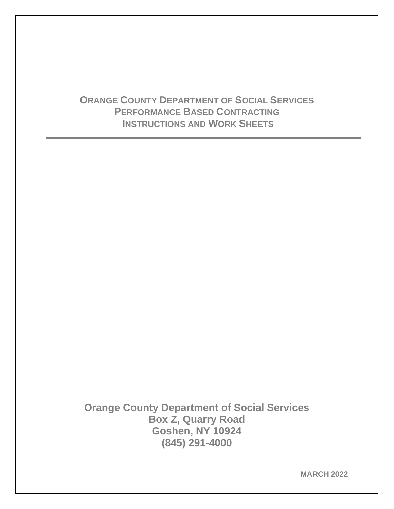# **ORANGE COUNTY DEPARTMENT OF SOCIAL SERVICES PERFORMANCE BASED CONTRACTING INSTRUCTIONS AND WORK SHEETS**

**Orange County Department of Social Services Box Z, Quarry Road Goshen, NY 10924 (845) 291-4000**

**MARCH 2022**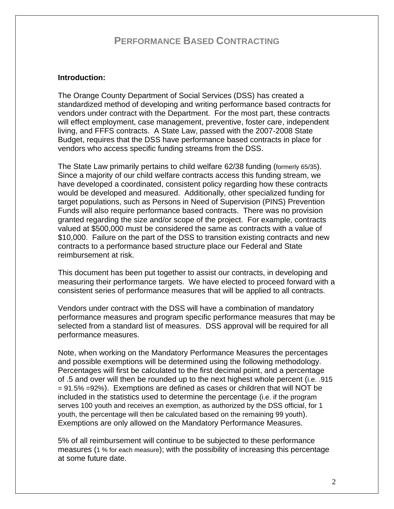## **PERFORMANCE BASED CONTRACTING**

## **Introduction:**

The Orange County Department of Social Services (DSS) has created a standardized method of developing and writing performance based contracts for vendors under contract with the Department. For the most part, these contracts will effect employment, case management, preventive, foster care, independent living, and FFFS contracts. A State Law, passed with the 2007-2008 State Budget, requires that the DSS have performance based contracts in place for vendors who access specific funding streams from the DSS.

The State Law primarily pertains to child welfare 62/38 funding (formerly 65/35). Since a majority of our child welfare contracts access this funding stream, we have developed a coordinated, consistent policy regarding how these contracts would be developed and measured. Additionally, other specialized funding for target populations, such as Persons in Need of Supervision (PINS) Prevention Funds will also require performance based contracts. There was no provision granted regarding the size and/or scope of the project. For example, contracts valued at \$500,000 must be considered the same as contracts with a value of \$10,000. Failure on the part of the DSS to transition existing contracts and new contracts to a performance based structure place our Federal and State reimbursement at risk.

This document has been put together to assist our contracts, in developing and measuring their performance targets. We have elected to proceed forward with a consistent series of performance measures that will be applied to all contracts.

Vendors under contract with the DSS will have a combination of mandatory performance measures and program specific performance measures that may be selected from a standard list of measures. DSS approval will be required for all performance measures.

Note, when working on the Mandatory Performance Measures the percentages and possible exemptions will be determined using the following methodology. Percentages will first be calculated to the first decimal point, and a percentage of .5 and over will then be rounded up to the next highest whole percent (i.e. .915 = 91.5% =92%). Exemptions are defined as cases or children that will NOT be included in the statistics used to determine the percentage (i.e. if the program serves 100 youth and receives an exemption, as authorized by the DSS official, for 1 youth, the percentage will then be calculated based on the remaining 99 youth). Exemptions are only allowed on the Mandatory Performance Measures.

5% of all reimbursement will continue to be subjected to these performance measures (1 % for each measure); with the possibility of increasing this percentage at some future date.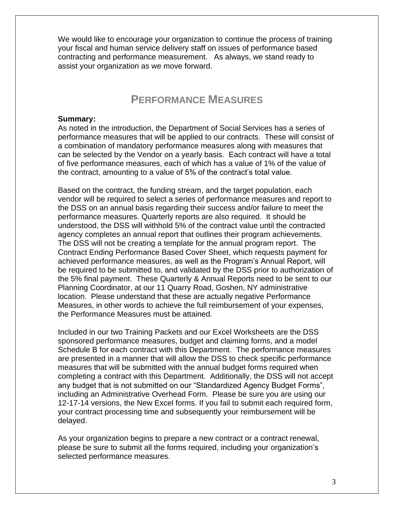We would like to encourage your organization to continue the process of training your fiscal and human service delivery staff on issues of performance based contracting and performance measurement. As always, we stand ready to assist your organization as we move forward.

# **PERFORMANCE MEASURES**

#### **Summary:**

As noted in the introduction, the Department of Social Services has a series of performance measures that will be applied to our contracts. These will consist of a combination of mandatory performance measures along with measures that can be selected by the Vendor on a yearly basis. Each contract will have a total of five performance measures, each of which has a value of 1% of the value of the contract, amounting to a value of 5% of the contract's total value.

Based on the contract, the funding stream, and the target population, each vendor will be required to select a series of performance measures and report to the DSS on an annual basis regarding their success and/or failure to meet the performance measures. Quarterly reports are also required. It should be understood, the DSS will withhold 5% of the contract value until the contracted agency completes an annual report that outlines their program achievements. The DSS will not be creating a template for the annual program report. The Contract Ending Performance Based Cover Sheet, which requests payment for achieved performance measures, as well as the Program's Annual Report, will be required to be submitted to, and validated by the DSS prior to authorization of the 5% final payment. These Quarterly & Annual Reports need to be sent to our Planning Coordinator, at our 11 Quarry Road, Goshen, NY administrative location. Please understand that these are actually negative Performance Measures, in other words to achieve the full reimbursement of your expenses, the Performance Measures must be attained.

Included in our two Training Packets and our Excel Worksheets are the DSS sponsored performance measures, budget and claiming forms, and a model Schedule B for each contract with this Department. The performance measures are presented in a manner that will allow the DSS to check specific performance measures that will be submitted with the annual budget forms required when completing a contract with this Department. Additionally, the DSS will not accept any budget that is not submitted on our "Standardized Agency Budget Forms", including an Administrative Overhead Form. Please be sure you are using our 12-17-14 versions, the New Excel forms. If you fail to submit each required form, your contract processing time and subsequently your reimbursement will be delayed.

As your organization begins to prepare a new contract or a contract renewal, please be sure to submit all the forms required, including your organization's selected performance measures.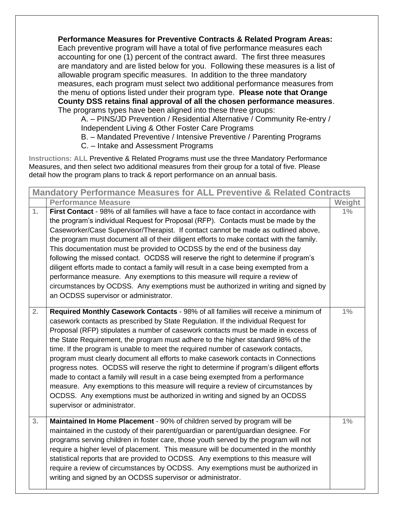**Performance Measures for Preventive Contracts & Related Program Areas:**  Each preventive program will have a total of five performance measures each accounting for one (1) percent of the contract award. The first three measures are mandatory and are listed below for you. Following these measures is a list of allowable program specific measures. In addition to the three mandatory measures, each program must select two additional performance measures from the menu of options listed under their program type. **Please note that Orange County DSS retains final approval of all the chosen performance measures**. The programs types have been aligned into these three groups:

A. – PINS/JD Prevention / Residential Alternative / Community Re-entry / Independent Living & Other Foster Care Programs

B. – Mandated Preventive / Intensive Preventive / Parenting Programs

C. – Intake and Assessment Programs

**Instructions: ALL** Preventive & Related Programs must use the three Mandatory Performance Measures, and then select two additional measures from their group for a total of five. Please detail how the program plans to track & report performance on an annual basis.

| <b>Mandatory Performance Measures for ALL Preventive &amp; Related Contracts</b> |                                                                                                                                                                                                                                                                                                                                                                                                                                                                                                                                                                                                                                                                                                                                                                                                                                                                                                               |        |
|----------------------------------------------------------------------------------|---------------------------------------------------------------------------------------------------------------------------------------------------------------------------------------------------------------------------------------------------------------------------------------------------------------------------------------------------------------------------------------------------------------------------------------------------------------------------------------------------------------------------------------------------------------------------------------------------------------------------------------------------------------------------------------------------------------------------------------------------------------------------------------------------------------------------------------------------------------------------------------------------------------|--------|
|                                                                                  | <b>Performance Measure</b>                                                                                                                                                                                                                                                                                                                                                                                                                                                                                                                                                                                                                                                                                                                                                                                                                                                                                    | Weight |
| 1.                                                                               | First Contact - 98% of all families will have a face to face contact in accordance with<br>the program's individual Request for Proposal (RFP). Contacts must be made by the<br>Caseworker/Case Supervisor/Therapist. If contact cannot be made as outlined above,<br>the program must document all of their diligent efforts to make contact with the family.<br>This documentation must be provided to OCDSS by the end of the business day<br>following the missed contact. OCDSS will reserve the right to determine if program's<br>diligent efforts made to contact a family will result in a case being exempted from a<br>performance measure. Any exemptions to this measure will require a review of<br>circumstances by OCDSS. Any exemptions must be authorized in writing and signed by<br>an OCDSS supervisor or administrator.                                                                 | $1\%$  |
| 2.                                                                               | Required Monthly Casework Contacts - 98% of all families will receive a minimum of<br>casework contacts as prescribed by State Regulation. If the individual Request for<br>Proposal (RFP) stipulates a number of casework contacts must be made in excess of<br>the State Requirement, the program must adhere to the higher standard 98% of the<br>time. If the program is unable to meet the required number of casework contacts,<br>program must clearly document all efforts to make casework contacts in Connections<br>progress notes. OCDSS will reserve the right to determine if program's diligent efforts<br>made to contact a family will result in a case being exempted from a performance<br>measure. Any exemptions to this measure will require a review of circumstances by<br>OCDSS. Any exemptions must be authorized in writing and signed by an OCDSS<br>supervisor or administrator. | $1\%$  |
| 3.                                                                               | Maintained In Home Placement - 90% of children served by program will be<br>maintained in the custody of their parent/guardian or parent/guardian designee. For<br>programs serving children in foster care, those youth served by the program will not<br>require a higher level of placement. This measure will be documented in the monthly<br>statistical reports that are provided to OCDSS. Any exemptions to this measure will<br>require a review of circumstances by OCDSS. Any exemptions must be authorized in<br>writing and signed by an OCDSS supervisor or administrator.                                                                                                                                                                                                                                                                                                                      | $1\%$  |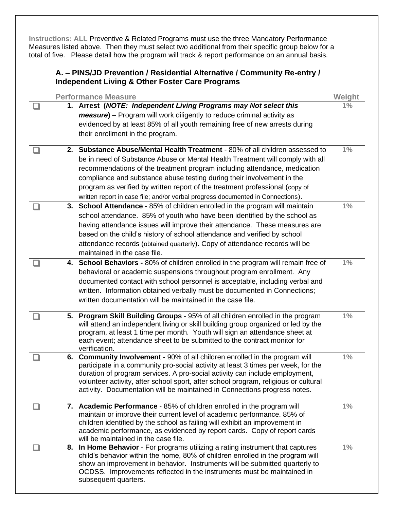**Instructions: ALL** Preventive & Related Programs must use the three Mandatory Performance Measures listed above. Then they must select two additional from their specific group below for a total of five. Please detail how the program will track & report performance on an annual basis.

|      | A. - PINS/JD Prevention / Residential Alternative / Community Re-entry /<br><b>Independent Living &amp; Other Foster Care Programs</b> |                                                                                                                                                                                                                                                                                                                                                                                                                                                                                         |        |
|------|----------------------------------------------------------------------------------------------------------------------------------------|-----------------------------------------------------------------------------------------------------------------------------------------------------------------------------------------------------------------------------------------------------------------------------------------------------------------------------------------------------------------------------------------------------------------------------------------------------------------------------------------|--------|
|      |                                                                                                                                        | <b>Performance Measure</b>                                                                                                                                                                                                                                                                                                                                                                                                                                                              | Weight |
|      |                                                                                                                                        | 1. Arrest (NOTE: Independent Living Programs may Not select this<br>measure) - Program will work diligently to reduce criminal activity as<br>evidenced by at least 85% of all youth remaining free of new arrests during<br>their enrollment in the program.                                                                                                                                                                                                                           | $1\%$  |
|      |                                                                                                                                        | 2. Substance Abuse/Mental Health Treatment - 80% of all children assessed to<br>be in need of Substance Abuse or Mental Health Treatment will comply with all<br>recommendations of the treatment program including attendance, medication<br>compliance and substance abuse testing during their involvement in the<br>program as verified by written report of the treatment professional (copy of<br>written report in case file; and/or verbal progress documented in Connections). | $1\%$  |
|      |                                                                                                                                        | 3. School Attendance - 85% of children enrolled in the program will maintain<br>school attendance. 85% of youth who have been identified by the school as<br>having attendance issues will improve their attendance. These measures are<br>based on the child's history of school attendance and verified by school<br>attendance records (obtained quarterly). Copy of attendance records will be<br>maintained in the case file.                                                      | $1\%$  |
| H    |                                                                                                                                        | 4. School Behaviors - 80% of children enrolled in the program will remain free of<br>behavioral or academic suspensions throughout program enrollment. Any<br>documented contact with school personnel is acceptable, including verbal and<br>written. Information obtained verbally must be documented in Connections;<br>written documentation will be maintained in the case file.                                                                                                   | 1%     |
|      |                                                                                                                                        | 5. Program Skill Building Groups - 95% of all children enrolled in the program<br>will attend an independent living or skill building group organized or led by the<br>program, at least 1 time per month. Youth will sign an attendance sheet at<br>each event; attendance sheet to be submitted to the contract monitor for<br>verification.                                                                                                                                          | $1\%$  |
|      |                                                                                                                                        | 6. Community Involvement - 90% of all children enrolled in the program will<br>participate in a community pro-social activity at least 3 times per week, for the<br>duration of program services. A pro-social activity can include employment,<br>volunteer activity, after school sport, after school program, religious or cultural<br>activity. Documentation will be maintained in Connections progress notes.                                                                     | 1%     |
| n an |                                                                                                                                        | 7. Academic Performance - 85% of children enrolled in the program will<br>maintain or improve their current level of academic performance. 85% of<br>children identified by the school as failing will exhibit an improvement in<br>academic performance, as evidenced by report cards. Copy of report cards<br>will be maintained in the case file.                                                                                                                                    | $1\%$  |
|      |                                                                                                                                        | 8. In Home Behavior - For programs utilizing a rating instrument that captures<br>child's behavior within the home, 80% of children enrolled in the program will<br>show an improvement in behavior. Instruments will be submitted quarterly to<br>OCDSS. Improvements reflected in the instruments must be maintained in<br>subsequent quarters.                                                                                                                                       | $1\%$  |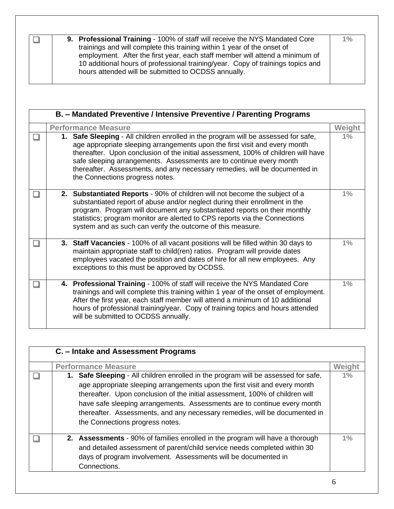|  | 9. Professional Training - 100% of staff will receive the NYS Mandated Core                                                                                                                                                                                                                       | $1\%$ |
|--|---------------------------------------------------------------------------------------------------------------------------------------------------------------------------------------------------------------------------------------------------------------------------------------------------|-------|
|  | trainings and will complete this training within 1 year of the onset of<br>employment. After the first year, each staff member will attend a minimum of<br>10 additional hours of professional training/year. Copy of trainings topics and<br>hours attended will be submitted to OCDSS annually. |       |

| B. - Mandated Preventive / Intensive Preventive / Parenting Programs |  |                                                                                                                                                                                                                                                                                                                                                                                                                                               |        |
|----------------------------------------------------------------------|--|-----------------------------------------------------------------------------------------------------------------------------------------------------------------------------------------------------------------------------------------------------------------------------------------------------------------------------------------------------------------------------------------------------------------------------------------------|--------|
|                                                                      |  | <b>Performance Measure</b>                                                                                                                                                                                                                                                                                                                                                                                                                    | Weight |
|                                                                      |  | 1. Safe Sleeping - All children enrolled in the program will be assessed for safe,<br>age appropriate sleeping arrangements upon the first visit and every month<br>thereafter. Upon conclusion of the initial assessment, 100% of children will have<br>safe sleeping arrangements. Assessments are to continue every month<br>thereafter. Assessments, and any necessary remedies, will be documented in<br>the Connections progress notes. | $1\%$  |
|                                                                      |  | 2. Substantiated Reports - 90% of children will not become the subject of a<br>substantiated report of abuse and/or neglect during their enrollment in the<br>program. Program will document any substantiated reports on their monthly<br>statistics; program monitor are alerted to CPS reports via the Connections<br>system and as such can verify the outcome of this measure.                                                           | $1\%$  |
|                                                                      |  | 3. Staff Vacancies - 100% of all vacant positions will be filled within 30 days to<br>maintain appropriate staff to child(ren) ratios. Program will provide dates<br>employees vacated the position and dates of hire for all new employees. Any<br>exceptions to this must be approved by OCDSS.                                                                                                                                             | $1\%$  |
|                                                                      |  | 4. Professional Training - 100% of staff will receive the NYS Mandated Core<br>trainings and will complete this training within 1 year of the onset of employment.<br>After the first year, each staff member will attend a minimum of 10 additional<br>hours of professional training/year. Copy of training topics and hours attended<br>will be submitted to OCDSS annually.                                                               | 1%     |

| C. - Intake and Assessment Programs                                                                                                                                                                                                                                                                                                                                                                                                           |        |
|-----------------------------------------------------------------------------------------------------------------------------------------------------------------------------------------------------------------------------------------------------------------------------------------------------------------------------------------------------------------------------------------------------------------------------------------------|--------|
| <b>Performance Measure</b>                                                                                                                                                                                                                                                                                                                                                                                                                    | Weight |
| 1. Safe Sleeping - All children enrolled in the program will be assessed for safe,<br>age appropriate sleeping arrangements upon the first visit and every month<br>thereafter. Upon conclusion of the initial assessment, 100% of children will<br>have safe sleeping arrangements. Assessments are to continue every month<br>thereafter. Assessments, and any necessary remedies, will be documented in<br>the Connections progress notes. | 1%     |
| <b>2.</b> Assessments - 90% of families enrolled in the program will have a thorough<br>and detailed assessment of parent/child service needs completed within 30<br>days of program involvement. Assessments will be documented in<br>Connections.                                                                                                                                                                                           | $1\%$  |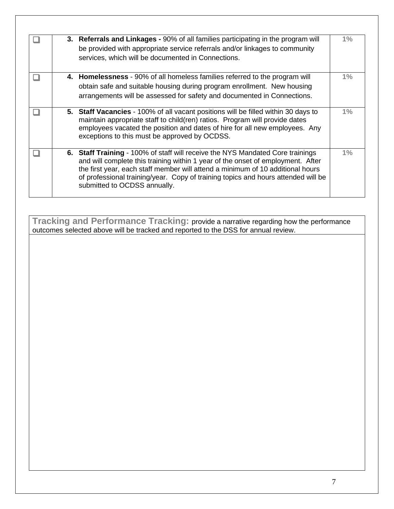|  | 3. Referrals and Linkages - 90% of all families participating in the program will<br>be provided with appropriate service referrals and/or linkages to community<br>services, which will be documented in Connections.                                                                                                                                                   | $1\%$ |
|--|--------------------------------------------------------------------------------------------------------------------------------------------------------------------------------------------------------------------------------------------------------------------------------------------------------------------------------------------------------------------------|-------|
|  | 4. Homelessness - 90% of all homeless families referred to the program will<br>obtain safe and suitable housing during program enrollment. New housing<br>arrangements will be assessed for safety and documented in Connections.                                                                                                                                        | $1\%$ |
|  | 5. Staff Vacancies - 100% of all vacant positions will be filled within 30 days to<br>maintain appropriate staff to child(ren) ratios. Program will provide dates<br>employees vacated the position and dates of hire for all new employees. Any<br>exceptions to this must be approved by OCDSS.                                                                        | $1\%$ |
|  | 6. Staff Training - 100% of staff will receive the NYS Mandated Core trainings<br>and will complete this training within 1 year of the onset of employment. After<br>the first year, each staff member will attend a minimum of 10 additional hours<br>of professional training/year. Copy of training topics and hours attended will be<br>submitted to OCDSS annually. | $1\%$ |

**Tracking and Performance Tracking:** provide a narrative regarding how the performance outcomes selected above will be tracked and reported to the DSS for annual review.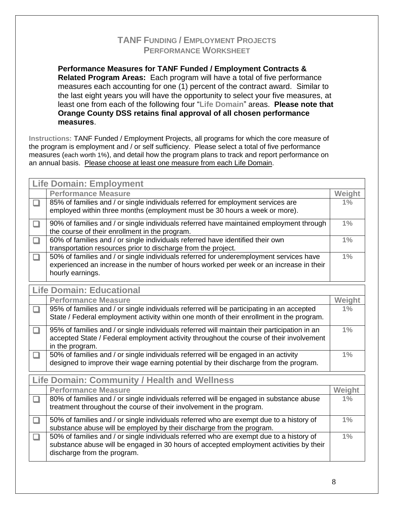## **TANF FUNDING / EMPLOYMENT PROJECTS PERFORMANCE WORKSHEET**

**Performance Measures for TANF Funded / Employment Contracts & Related Program Areas:** Each program will have a total of five performance measures each accounting for one (1) percent of the contract award. Similar to the last eight years you will have the opportunity to select your five measures, at least one from each of the following four "**Life Domain**" areas. **Please note that Orange County DSS retains final approval of all chosen performance measures**.

**Instructions:** TANF Funded / Employment Projects, all programs for which the core measure of the program is employment and / or self sufficiency. Please select a total of five performance measures (each worth 1%), and detail how the program plans to track and report performance on an annual basis. Please choose at least one measure from each Life Domain.

|        | <b>Life Domain: Employment</b>                                                                                                                                                                                   |               |  |  |
|--------|------------------------------------------------------------------------------------------------------------------------------------------------------------------------------------------------------------------|---------------|--|--|
|        | <b>Performance Measure</b>                                                                                                                                                                                       | <b>Weight</b> |  |  |
| $\Box$ | 85% of families and / or single individuals referred for employment services are<br>employed within three months (employment must be 30 hours a week or more).                                                   | 1%            |  |  |
| ❏      | 90% of families and / or single individuals referred have maintained employment through<br>the course of their enrollment in the program.                                                                        | $1\%$         |  |  |
| □      | 60% of families and / or single individuals referred have identified their own<br>transportation resources prior to discharge from the project.                                                                  | $1\%$         |  |  |
| $\Box$ | 50% of families and / or single individuals referred for underemployment services have<br>experienced an increase in the number of hours worked per week or an increase in their<br>hourly earnings.             | $1\%$         |  |  |
|        | <b>Life Domain: Educational</b>                                                                                                                                                                                  |               |  |  |
|        | <b>Performance Measure</b>                                                                                                                                                                                       | Weight        |  |  |
| □      | 95% of families and / or single individuals referred will be participating in an accepted<br>State / Federal employment activity within one month of their enrollment in the program.                            | 1%            |  |  |
| □      | 95% of families and / or single individuals referred will maintain their participation in an<br>accepted State / Federal employment activity throughout the course of their involvement<br>in the program.       | $1\%$         |  |  |
| □      | 50% of families and / or single individuals referred will be engaged in an activity<br>designed to improve their wage earning potential by their discharge from the program.                                     | $1\%$         |  |  |
|        | <b>Life Domain: Community / Health and Wellness</b>                                                                                                                                                              |               |  |  |
|        | <b>Performance Measure</b>                                                                                                                                                                                       | Weight        |  |  |
| $\Box$ | 80% of families and / or single individuals referred will be engaged in substance abuse<br>treatment throughout the course of their involvement in the program.                                                  | $1\%$         |  |  |
| $\Box$ | 50% of families and / or single individuals referred who are exempt due to a history of<br>substance abuse will be employed by their discharge from the program.                                                 | $1\%$         |  |  |
| $\Box$ | 50% of families and / or single individuals referred who are exempt due to a history of<br>substance abuse will be engaged in 30 hours of accepted employment activities by their<br>discharge from the program. | $1\%$         |  |  |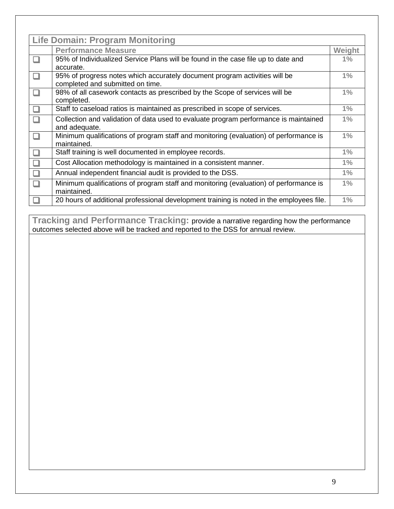| <b>Life Domain: Program Monitoring</b> |                                                                                          |        |
|----------------------------------------|------------------------------------------------------------------------------------------|--------|
|                                        | <b>Performance Measure</b>                                                               | Weight |
|                                        | 95% of Individualized Service Plans will be found in the case file up to date and        | $1\%$  |
|                                        | accurate.                                                                                |        |
|                                        | 95% of progress notes which accurately document program activities will be               | $1\%$  |
|                                        | completed and submitted on time.                                                         |        |
|                                        | 98% of all casework contacts as prescribed by the Scope of services will be              | 1%     |
|                                        | completed.                                                                               |        |
|                                        | Staff to caseload ratios is maintained as prescribed in scope of services.               | $1\%$  |
|                                        | Collection and validation of data used to evaluate program performance is maintained     | $1\%$  |
|                                        | and adequate.                                                                            |        |
|                                        | Minimum qualifications of program staff and monitoring (evaluation) of performance is    | $1\%$  |
|                                        | maintained.                                                                              |        |
|                                        | Staff training is well documented in employee records.                                   | 1%     |
|                                        | Cost Allocation methodology is maintained in a consistent manner.                        | $1\%$  |
|                                        | Annual independent financial audit is provided to the DSS.                               | $1\%$  |
|                                        | Minimum qualifications of program staff and monitoring (evaluation) of performance is    | $1\%$  |
|                                        | maintained.                                                                              |        |
|                                        | 20 hours of additional professional development training is noted in the employees file. | 1%     |

**Tracking and Performance Tracking:** provide a narrative regarding how the performance outcomes selected above will be tracked and reported to the DSS for annual review.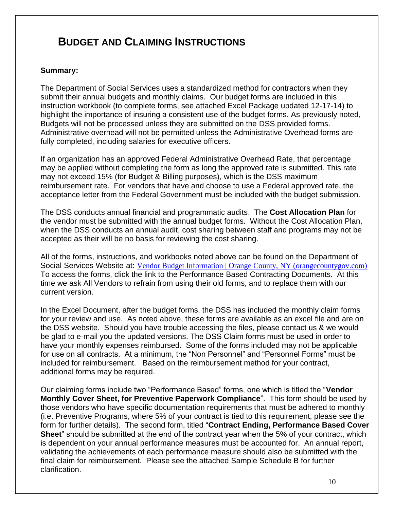# **BUDGET AND CLAIMING INSTRUCTIONS**

## **Summary:**

The Department of Social Services uses a standardized method for contractors when they submit their annual budgets and monthly claims. Our budget forms are included in this instruction workbook (to complete forms, see attached Excel Package updated 12-17-14) to highlight the importance of insuring a consistent use of the budget forms. As previously noted, Budgets will not be processed unless they are submitted on the DSS provided forms. Administrative overhead will not be permitted unless the Administrative Overhead forms are fully completed, including salaries for executive officers.

If an organization has an approved Federal Administrative Overhead Rate, that percentage may be applied without completing the form as long the approved rate is submitted. This rate may not exceed 15% (for Budget & Billing purposes), which is the DSS maximum reimbursement rate. For vendors that have and choose to use a Federal approved rate, the acceptance letter from the Federal Government must be included with the budget submission.

The DSS conducts annual financial and programmatic audits. The **Cost Allocation Plan** for the vendor must be submitted with the annual budget forms. Without the Cost Allocation Plan, when the DSS conducts an annual audit, cost sharing between staff and programs may not be accepted as their will be no basis for reviewing the cost sharing.

All of the forms, instructions, and workbooks noted above can be found on the Department of Social Services Website at: [Vendor Budget Information | Orange County, NY \(orangecountygov.com\)](https://www.orangecountygov.com/746/Vendor-Budget-Information) To access the forms, click the link to the Performance Based Contracting Documents. At this time we ask All Vendors to refrain from using their old forms, and to replace them with our current version.

In the Excel Document, after the budget forms, the DSS has included the monthly claim forms for your review and use. As noted above, these forms are available as an excel file and are on the DSS website. Should you have trouble accessing the files, please contact us & we would be glad to e-mail you the updated versions. The DSS Claim forms must be used in order to have your monthly expenses reimbursed. Some of the forms included may not be applicable for use on all contracts. At a minimum, the "Non Personnel" and "Personnel Forms" must be included for reimbursement. Based on the reimbursement method for your contract, additional forms may be required.

Our claiming forms include two "Performance Based" forms, one which is titled the "**Vendor Monthly Cover Sheet, for Preventive Paperwork Compliance**". This form should be used by those vendors who have specific documentation requirements that must be adhered to monthly (i.e. Preventive Programs, where 5% of your contract is tied to this requirement, please see the form for further details). The second form, titled "**Contract Ending, Performance Based Cover Sheet**" should be submitted at the end of the contract year when the 5% of your contract, which is dependent on your annual performance measures must be accounted for. An annual report, validating the achievements of each performance measure should also be submitted with the final claim for reimbursement. Please see the attached Sample Schedule B for further clarification.